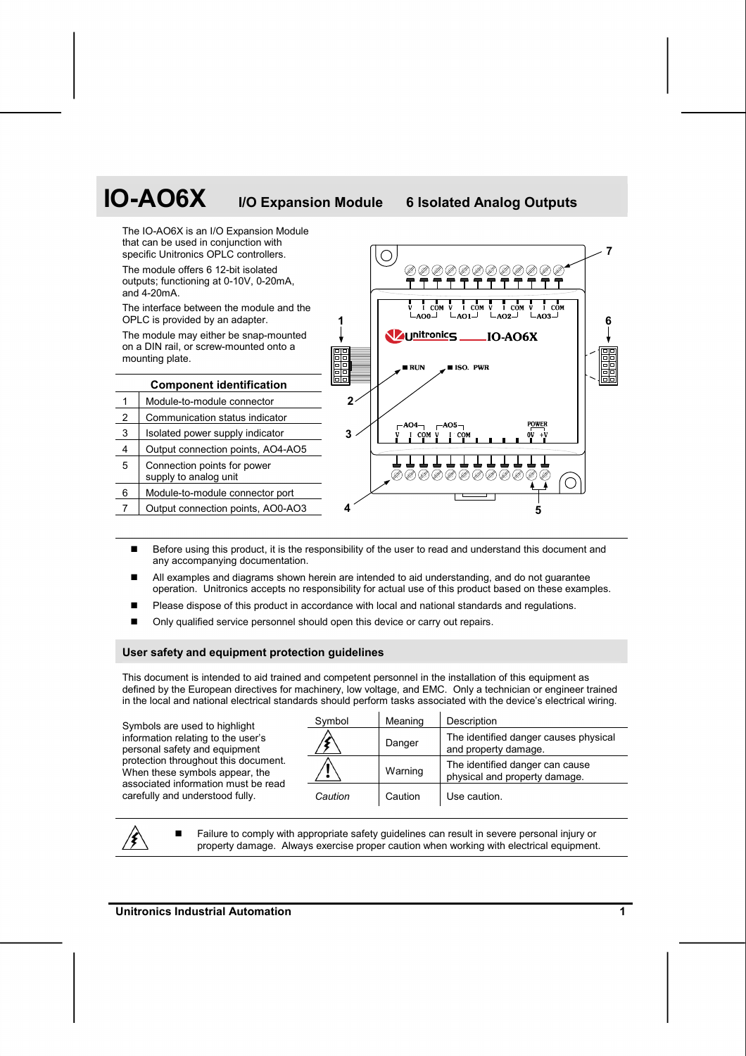

- Before using this product, it is the responsibility of the user to read and understand this document and any accompanying documentation.
- All examples and diagrams shown herein are intended to aid understanding, and do not guarantee operation. Unitronics accepts no responsibility for actual use of this product based on these examples.
- Please dispose of this product in accordance with local and national standards and regulations.
- Only qualified service personnel should open this device or carry out repairs.

# **User safety and equipment protection guidelines**

This document is intended to aid trained and competent personnel in the installation of this equipment as defined by the European directives for machinery, low voltage, and EMC. Only a technician or engineer trained in the local and national electrical standards should perform tasks associated with the device's electrical wiring.

Symbols are used to highlight information relating to the user's personal safety and equipment protection throughout this document. When these symbols appear, the associated information must be read carefully and understood fully.

| Symbol  | Meaning | Description                                                      |
|---------|---------|------------------------------------------------------------------|
|         | Danger  | The identified danger causes physical<br>and property damage.    |
|         | Warning | The identified danger can cause<br>physical and property damage. |
| Caution | Caution | Use caution.                                                     |

 Failure to comply with appropriate safety guidelines can result in severe personal injury or property damage. Always exercise proper caution when working with electrical equipment.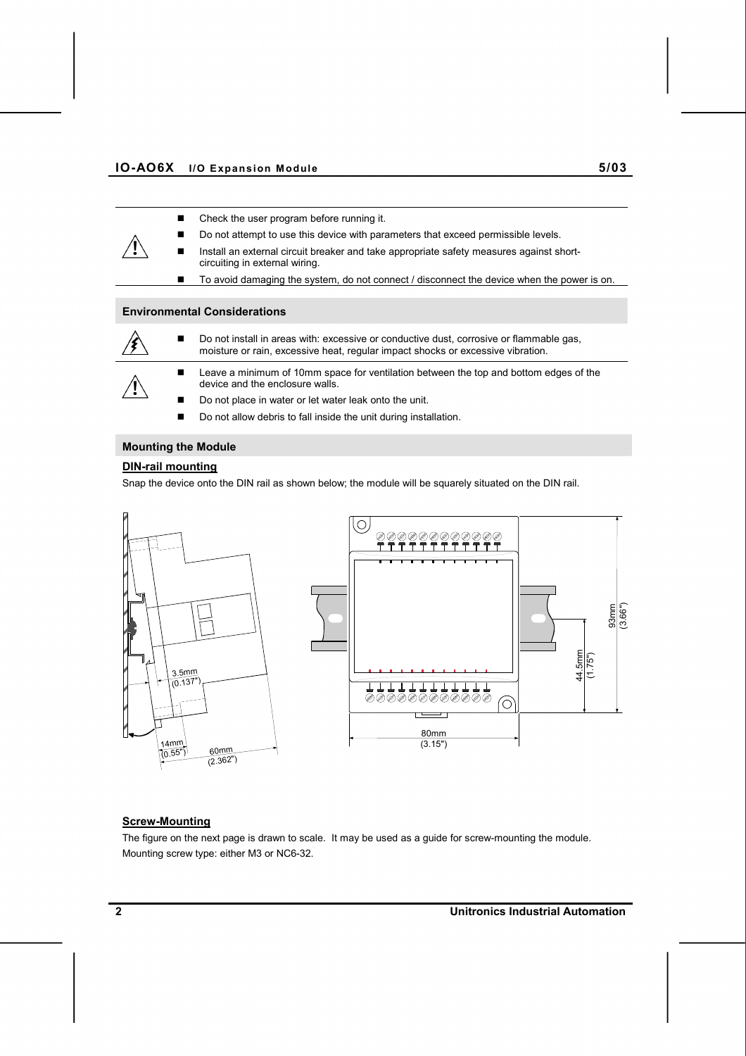- Check the user program before running it.
	- Do not attempt to use this device with parameters that exceed permissible levels.
	- Install an external circuit breaker and take appropriate safety measures against shortcircuiting in external wiring.
	- To avoid damaging the system, do not connect / disconnect the device when the power is on.

## **Environmental Considerations**



- Do not install in areas with: excessive or conductive dust, corrosive or flammable gas, moisture or rain, excessive heat, regular impact shocks or excessive vibration.
- **Leave a minimum of 10mm space for ventilation between the top and bottom edges of the** device and the enclosure walls.
- Do not place in water or let water leak onto the unit.
- Do not allow debris to fall inside the unit during installation.

# **Mounting the Module**

# **DIN-rail mounting**

Snap the device onto the DIN rail as shown below; the module will be squarely situated on the DIN rail.



# **Screw-Mounting**

The figure on the next page is drawn to scale. It may be used as a guide for screw-mounting the module. Mounting screw type: either M3 or NC6-32.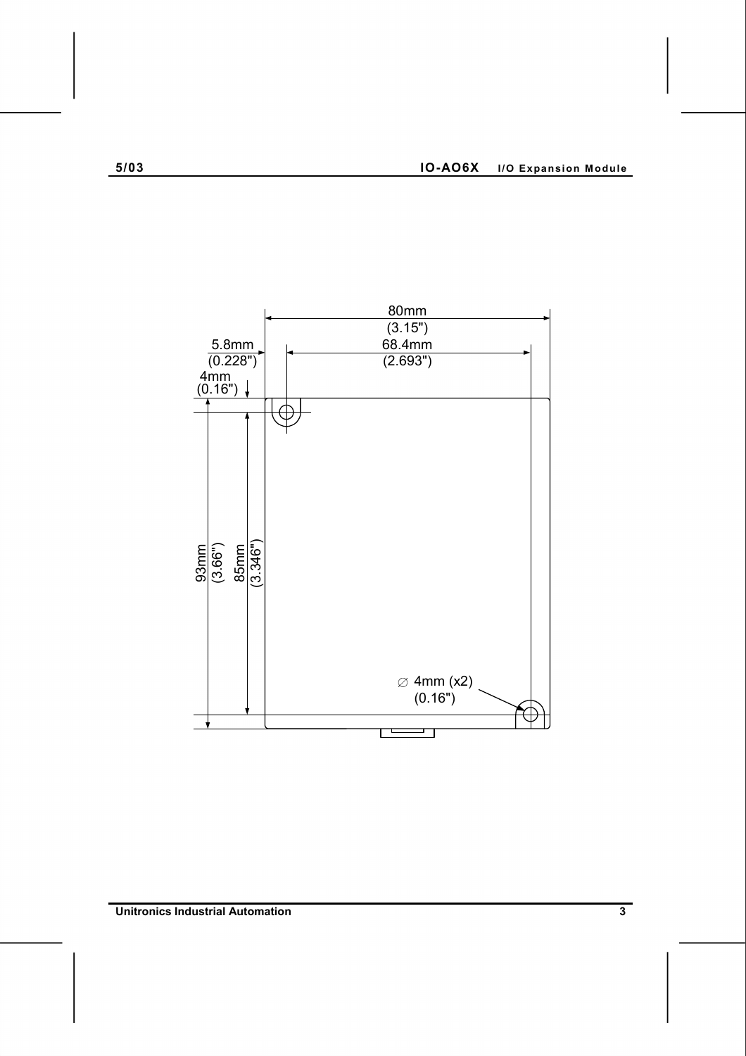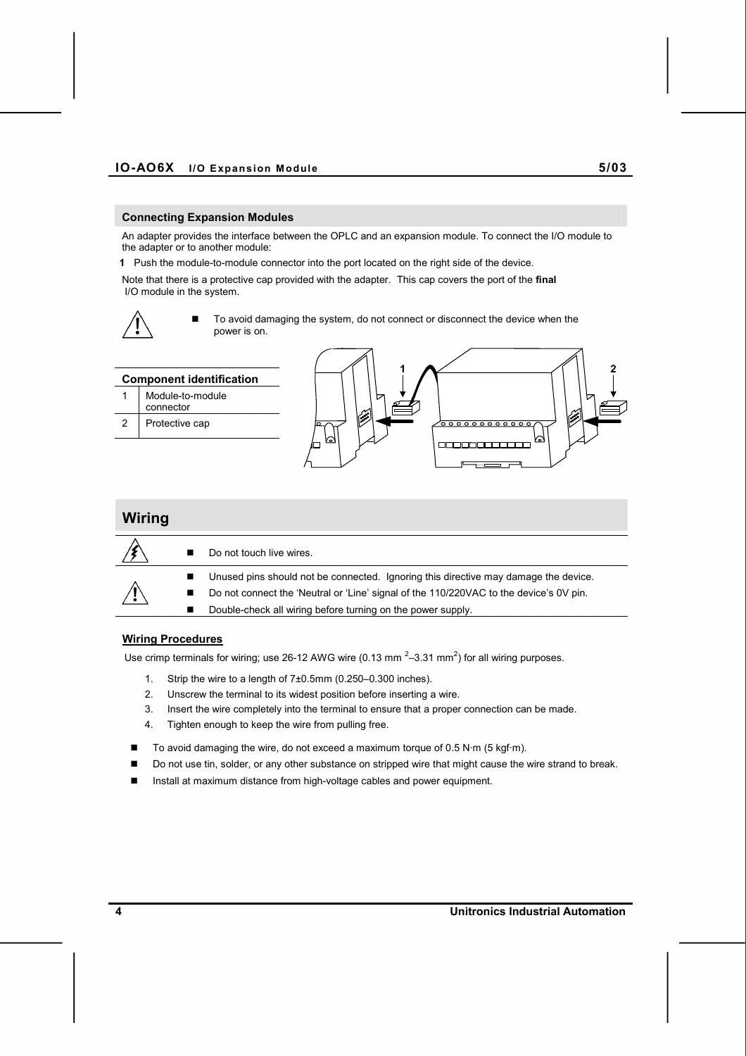#### **Connecting Expansion Modules**

An adapter provides the interface between the OPLC and an expansion module. To connect the I/O module to the adapter or to another module:

**1** Push the module-to-module connector into the port located on the right side of the device.

Note that there is a protective cap provided with the adapter. This cap covers the port of the **final**  I/O module in the system.



■ To avoid damaging the system, do not connect or disconnect the device when the power is on.



| Wiring |                                                                                        |
|--------|----------------------------------------------------------------------------------------|
|        | Do not touch live wires.                                                               |
|        | Unused pins should not be connected. Ignoring this directive may damage the device.    |
| ⁄ ↓    | Do not connect the 'Neutral or 'Line' signal of the 110/220VAC to the device's 0V pin. |
|        | Double-check all wiring before turning on the power supply.                            |

# **Wiring Procedures**

Use crimp terminals for wiring; use 26-12 AWG wire (0.13 mm  $^{2}$ –3.31 mm<sup>2</sup>) for all wiring purposes.

- 1. Strip the wire to a length of 7±0.5mm (0.250–0.300 inches).
- 2. Unscrew the terminal to its widest position before inserting a wire.
- 3. Insert the wire completely into the terminal to ensure that a proper connection can be made.
- 4. Tighten enough to keep the wire from pulling free.
- To avoid damaging the wire, do not exceed a maximum torque of 0.5 N·m (5 kgf·m).
- Do not use tin, solder, or any other substance on stripped wire that might cause the wire strand to break.
- Install at maximum distance from high-voltage cables and power equipment.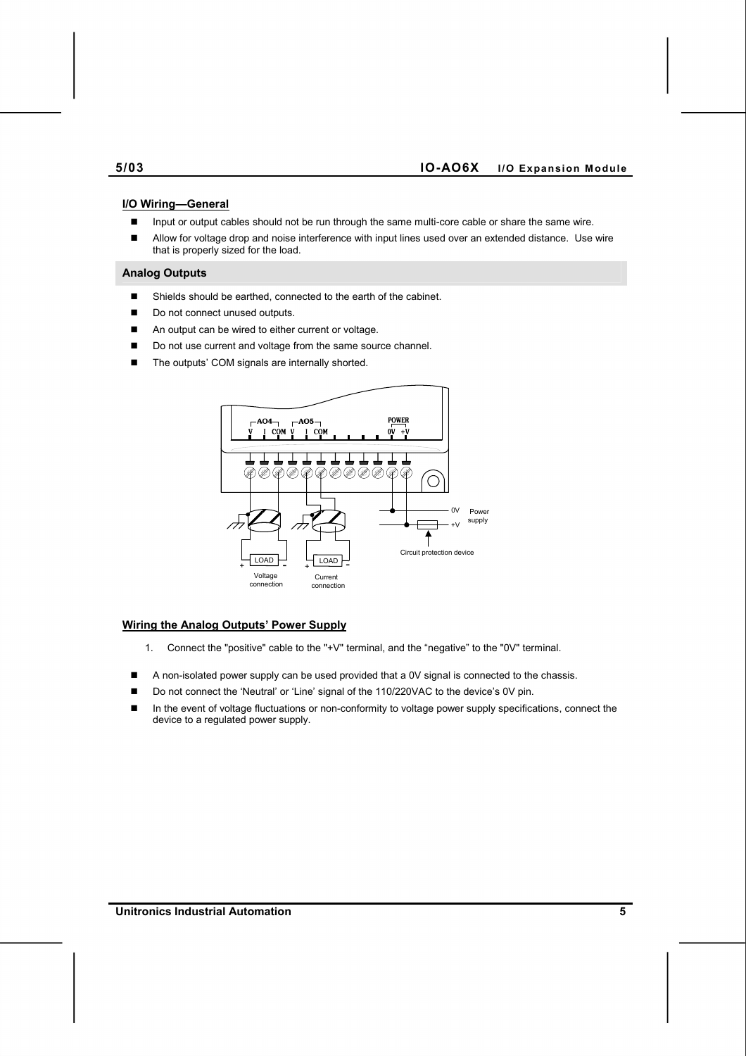#### **I/O Wiring—General**

- Input or output cables should not be run through the same multi-core cable or share the same wire.
- Allow for voltage drop and noise interference with input lines used over an extended distance. Use wire that is properly sized for the load.

#### **Analog Outputs**

- Shields should be earthed, connected to the earth of the cabinet.
- Do not connect unused outputs.
- An output can be wired to either current or voltage.
- Do not use current and voltage from the same source channel.
- The outputs' COM signals are internally shorted.



# **Wiring the Analog Outputs' Power Supply**

- 1. Connect the "positive" cable to the "+V" terminal, and the "negative" to the "0V" terminal.
- A non-isolated power supply can be used provided that a 0V signal is connected to the chassis.
- Do not connect the 'Neutral' or 'Line' signal of the 110/220VAC to the device's 0V pin.
- In the event of voltage fluctuations or non-conformity to voltage power supply specifications, connect the device to a regulated power supply.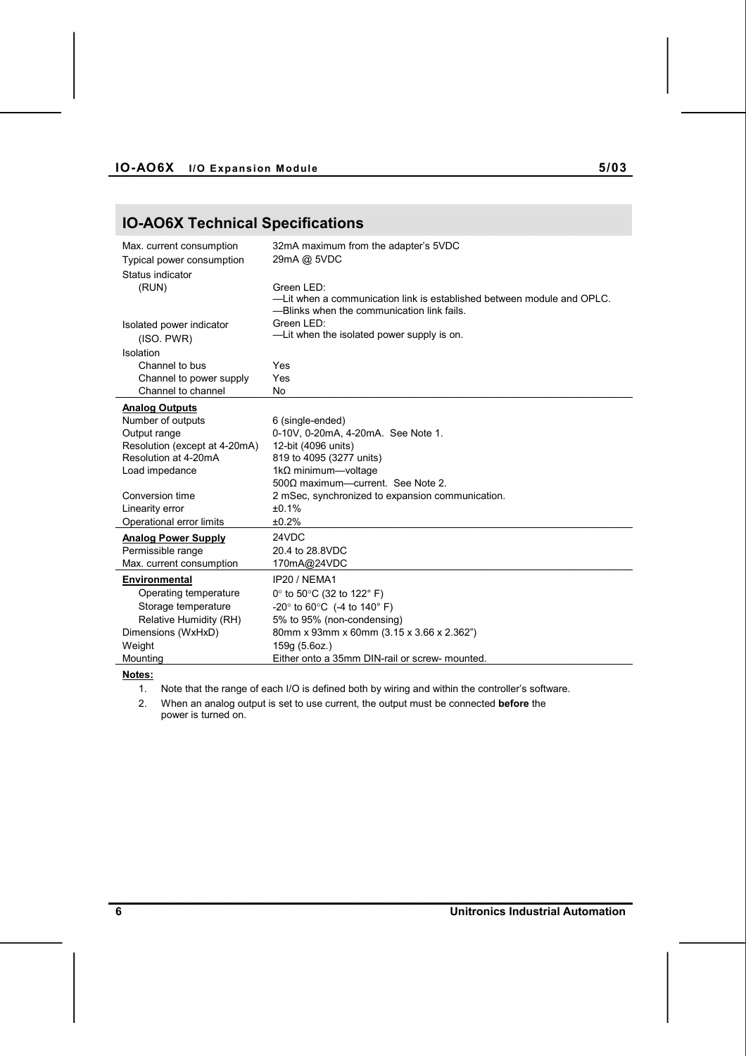# **IO-AO6X Technical Specifications**

| Max. current consumption<br>Typical power consumption<br>Status indicator | 32mA maximum from the adapter's 5VDC<br>29mA @ 5VDC                                                                                |
|---------------------------------------------------------------------------|------------------------------------------------------------------------------------------------------------------------------------|
| (RUN)                                                                     | Green LED:<br>-Lit when a communication link is established between module and OPLC.<br>-Blinks when the communication link fails. |
| Isolated power indicator<br>(ISO. PWR)                                    | Green LED:<br>-Lit when the isolated power supply is on.                                                                           |
| Isolation                                                                 |                                                                                                                                    |
| Channel to bus                                                            | Yes                                                                                                                                |
| Channel to power supply                                                   | Yes                                                                                                                                |
| Channel to channel                                                        | No                                                                                                                                 |
| <b>Analog Outputs</b>                                                     |                                                                                                                                    |
| Number of outputs                                                         | 6 (single-ended)                                                                                                                   |
| Output range                                                              | 0-10V, 0-20mA, 4-20mA. See Note 1.                                                                                                 |
| Resolution (except at 4-20mA)                                             | 12-bit (4096 units)                                                                                                                |
| Resolution at 4-20mA                                                      | 819 to 4095 (3277 units)                                                                                                           |
| Load impedance                                                            | 1k $\Omega$ minimum-voltage                                                                                                        |
|                                                                           | $500\Omega$ maximum-current. See Note 2.                                                                                           |
| Conversion time                                                           | 2 mSec, synchronized to expansion communication.                                                                                   |
| Linearity error                                                           | ±0.1%                                                                                                                              |
| Operational error limits                                                  | ±0.2%                                                                                                                              |
| <b>Analog Power Supply</b>                                                | 24VDC                                                                                                                              |
| Permissible range                                                         | 20.4 to 28.8VDC                                                                                                                    |
| Max. current consumption                                                  | 170mA@24VDC                                                                                                                        |
| Environmental                                                             | IP20 / NEMA1                                                                                                                       |
| Operating temperature                                                     | 0 $\degree$ to 50 $\degree$ C (32 to 122 $\degree$ F)                                                                              |
| Storage temperature                                                       | -20 $\degree$ to 60 $\degree$ C (-4 to 140 $\degree$ F)                                                                            |
| Relative Humidity (RH)                                                    | 5% to 95% (non-condensing)                                                                                                         |
| Dimensions (WxHxD)                                                        | 80mm x 93mm x 60mm (3.15 x 3.66 x 2.362")                                                                                          |
| Weight                                                                    | 159q (5.6oz.)                                                                                                                      |
| Mountina                                                                  | Either onto a 35mm DIN-rail or screw- mounted.                                                                                     |

**Notes:**

1. Note that the range of each I/O is defined both by wiring and within the controller's software.

2. When an analog output is set to use current, the output must be connected **before** the power is turned on.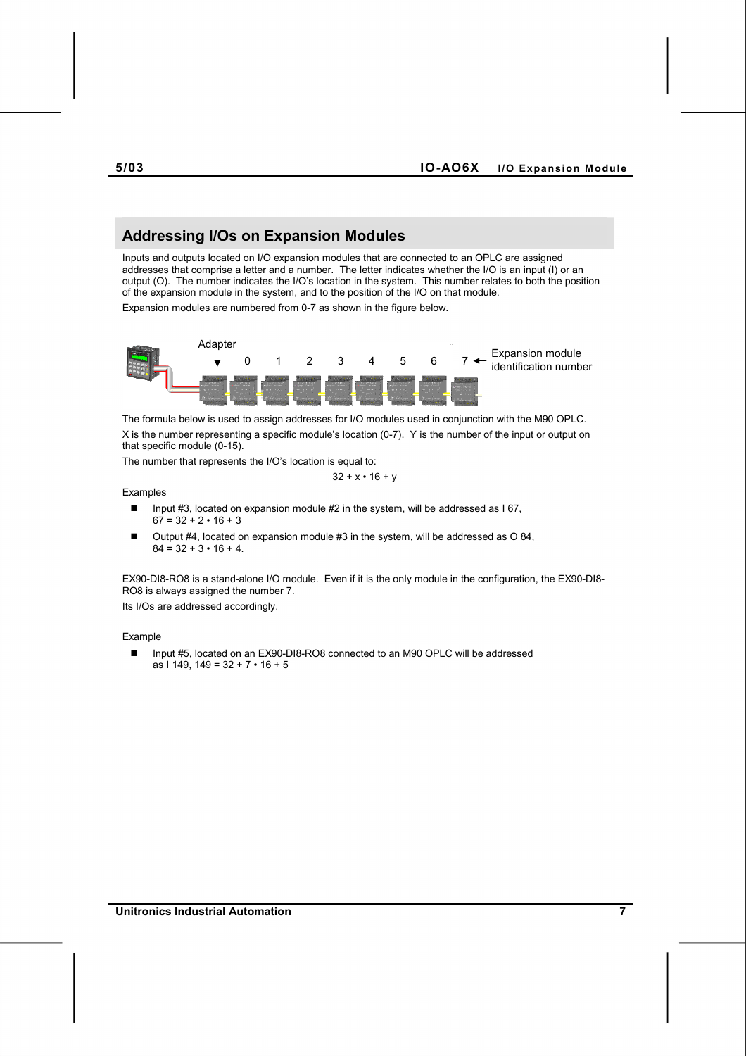# **Addressing I/Os on Expansion Modules**

Inputs and outputs located on I/O expansion modules that are connected to an OPLC are assigned addresses that comprise a letter and a number. The letter indicates whether the I/O is an input (I) or an output (O). The number indicates the I/O's location in the system. This number relates to both the position of the expansion module in the system, and to the position of the I/O on that module.

Expansion modules are numbered from 0-7 as shown in the figure below.



The formula below is used to assign addresses for I/O modules used in conjunction with the M90 OPLC. X is the number representing a specific module's location (0-7). Y is the number of the input or output on that specific module (0-15).

The number that represents the I/O's location is equal to:

$$
32 + x \cdot 16 + y
$$

#### Examples

- Input #3, located on expansion module #2 in the system, will be addressed as I 67,  $67 = 32 + 2 \cdot 16 + 3$
- Output #4, located on expansion module #3 in the system, will be addressed as O 84,  $84 = 32 + 3 \cdot 16 + 4$ .

EX90-DI8-RO8 is a stand-alone I/O module. Even if it is the only module in the configuration, the EX90-DI8- RO8 is always assigned the number 7.

Its I/Os are addressed accordingly.

#### Example

■ Input #5, located on an EX90-DI8-RO8 connected to an M90 OPLC will be addressed as I 149, 149 = 32 + 7 • 16 + 5